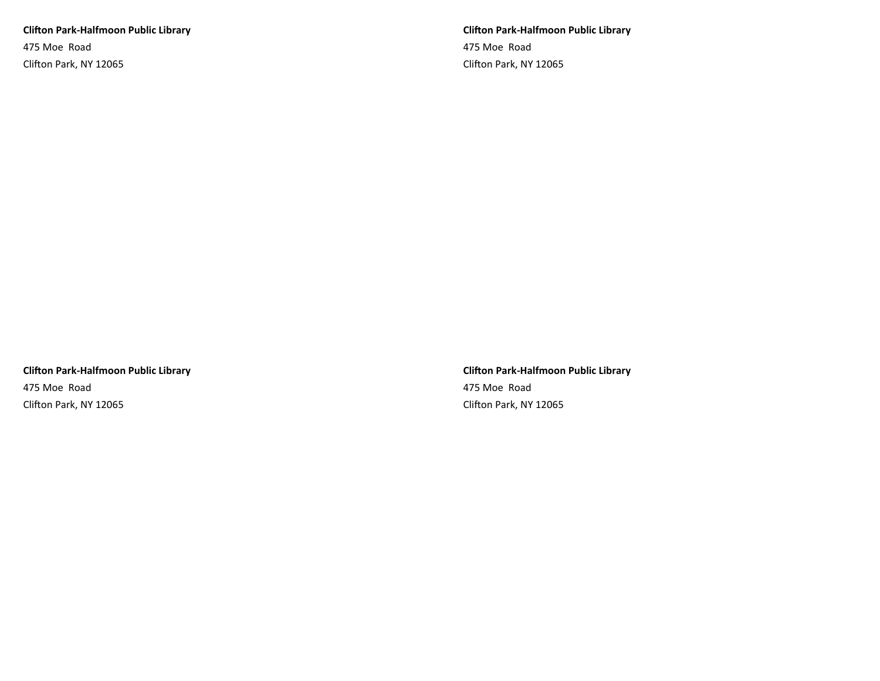**Clifton Park-Halfmoon Public Library** 475 Moe Road Clifton Park, NY 12065

**Clifton Park-Halfmoon Public Library** 475 Moe Road Clifton Park, NY 12065

**Clifton Park-Halfmoon Public Library** 475 Moe Road Clifton Park, NY 12065

**Clifton Park-Halfmoon Public Library** 475 Moe Road Clifton Park, NY 12065